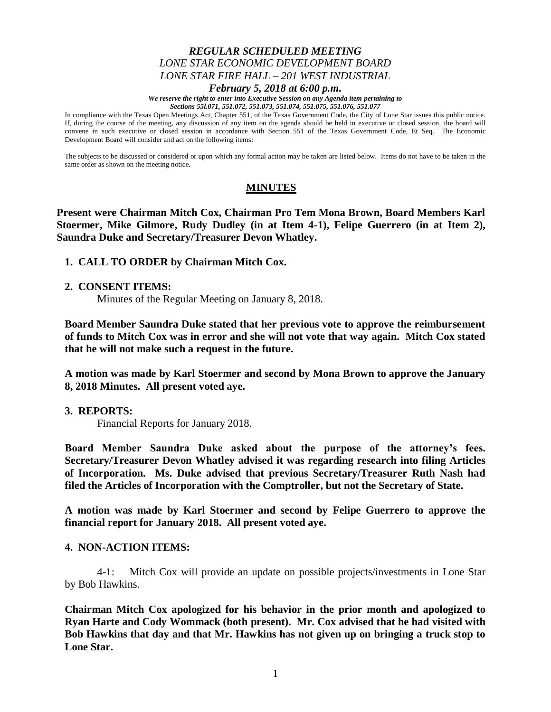### *REGULAR SCHEDULED MEETING LONE STAR ECONOMIC DEVELOPMENT BOARD LONE STAR FIRE HALL – 201 WEST INDUSTRIAL February 5, 2018 at 6:00 p.m.*

*We reserve the right to enter into Executive Session on any Agenda item pertaining to* 

*Sections 55l.071, 551.072, 551.073, 551.074, 551.075, 551.076, 551.077*

In compliance with the Texas Open Meetings Act, Chapter 551, of the Texas Government Code, the City of Lone Star issues this public notice. If, during the course of the meeting, any discussion of any item on the agenda should be held in executive or closed session, the board will convene in such executive or closed session in accordance with Section 551 of the Texas Government Code, Et Seq. The Economic Development Board will consider and act on the following items:

The subjects to be discussed or considered or upon which any formal action may be taken are listed below. Items do not have to be taken in the same order as shown on the meeting notice.

# **MINUTES**

**Present were Chairman Mitch Cox, Chairman Pro Tem Mona Brown, Board Members Karl Stoermer, Mike Gilmore, Rudy Dudley (in at Item 4-1), Felipe Guerrero (in at Item 2), Saundra Duke and Secretary/Treasurer Devon Whatley.**

**1. CALL TO ORDER by Chairman Mitch Cox.**

### **2. CONSENT ITEMS:**

Minutes of the Regular Meeting on January 8, 2018.

**Board Member Saundra Duke stated that her previous vote to approve the reimbursement of funds to Mitch Cox was in error and she will not vote that way again. Mitch Cox stated that he will not make such a request in the future.** 

**A motion was made by Karl Stoermer and second by Mona Brown to approve the January 8, 2018 Minutes. All present voted aye.**

### **3. REPORTS:**

Financial Reports for January 2018.

**Board Member Saundra Duke asked about the purpose of the attorney's fees. Secretary/Treasurer Devon Whatley advised it was regarding research into filing Articles of Incorporation. Ms. Duke advised that previous Secretary/Treasurer Ruth Nash had filed the Articles of Incorporation with the Comptroller, but not the Secretary of State.**

**A motion was made by Karl Stoermer and second by Felipe Guerrero to approve the financial report for January 2018. All present voted aye.**

### **4. NON-ACTION ITEMS:**

4-1: Mitch Cox will provide an update on possible projects/investments in Lone Star by Bob Hawkins.

**Chairman Mitch Cox apologized for his behavior in the prior month and apologized to Ryan Harte and Cody Wommack (both present). Mr. Cox advised that he had visited with Bob Hawkins that day and that Mr. Hawkins has not given up on bringing a truck stop to Lone Star.**